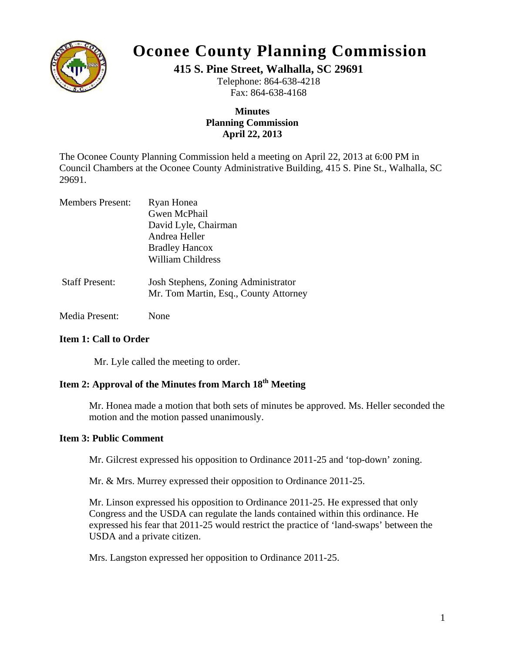

# **Oconee County Planning Commission**

**415 S. Pine Street, Walhalla, SC 29691** 

Telephone: 864-638-4218 Fax: 864-638-4168

# **Minutes Planning Commission April 22, 2013**

The Oconee County Planning Commission held a meeting on April 22, 2013 at 6:00 PM in Council Chambers at the Oconee County Administrative Building, 415 S. Pine St., Walhalla, SC 29691.

| <b>Members Present:</b> | Ryan Honea                            |
|-------------------------|---------------------------------------|
|                         | Gwen McPhail                          |
|                         | David Lyle, Chairman                  |
|                         | Andrea Heller                         |
|                         | <b>Bradley Hancox</b>                 |
|                         | <b>William Childress</b>              |
| <b>Staff Present:</b>   | Josh Stephens, Zoning Administrator   |
|                         | Mr. Tom Martin, Esq., County Attorney |

Media Present: None

# **Item 1: Call to Order**

Mr. Lyle called the meeting to order.

# **Item 2: Approval of the Minutes from March 18th Meeting**

Mr. Honea made a motion that both sets of minutes be approved. Ms. Heller seconded the motion and the motion passed unanimously.

# **Item 3: Public Comment**

Mr. Gilcrest expressed his opposition to Ordinance 2011-25 and 'top-down' zoning.

Mr. & Mrs. Murrey expressed their opposition to Ordinance 2011-25.

Mr. Linson expressed his opposition to Ordinance 2011-25. He expressed that only Congress and the USDA can regulate the lands contained within this ordinance. He expressed his fear that 2011-25 would restrict the practice of 'land-swaps' between the USDA and a private citizen.

Mrs. Langston expressed her opposition to Ordinance 2011-25.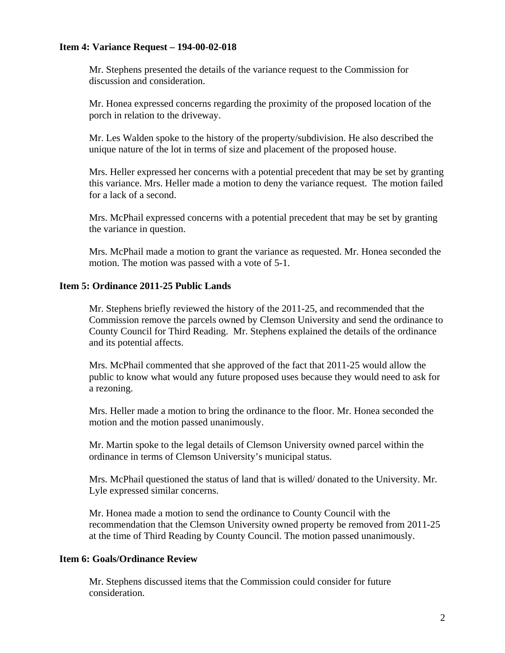## **Item 4: Variance Request – 194-00-02-018**

Mr. Stephens presented the details of the variance request to the Commission for discussion and consideration.

Mr. Honea expressed concerns regarding the proximity of the proposed location of the porch in relation to the driveway.

Mr. Les Walden spoke to the history of the property/subdivision. He also described the unique nature of the lot in terms of size and placement of the proposed house.

Mrs. Heller expressed her concerns with a potential precedent that may be set by granting this variance. Mrs. Heller made a motion to deny the variance request. The motion failed for a lack of a second.

Mrs. McPhail expressed concerns with a potential precedent that may be set by granting the variance in question.

Mrs. McPhail made a motion to grant the variance as requested. Mr. Honea seconded the motion. The motion was passed with a vote of 5-1.

## **Item 5: Ordinance 2011-25 Public Lands**

Mr. Stephens briefly reviewed the history of the 2011-25, and recommended that the Commission remove the parcels owned by Clemson University and send the ordinance to County Council for Third Reading. Mr. Stephens explained the details of the ordinance and its potential affects.

Mrs. McPhail commented that she approved of the fact that 2011-25 would allow the public to know what would any future proposed uses because they would need to ask for a rezoning.

Mrs. Heller made a motion to bring the ordinance to the floor. Mr. Honea seconded the motion and the motion passed unanimously.

Mr. Martin spoke to the legal details of Clemson University owned parcel within the ordinance in terms of Clemson University's municipal status.

Mrs. McPhail questioned the status of land that is willed/ donated to the University. Mr. Lyle expressed similar concerns.

Mr. Honea made a motion to send the ordinance to County Council with the recommendation that the Clemson University owned property be removed from 2011-25 at the time of Third Reading by County Council. The motion passed unanimously.

#### **Item 6: Goals/Ordinance Review**

Mr. Stephens discussed items that the Commission could consider for future consideration.